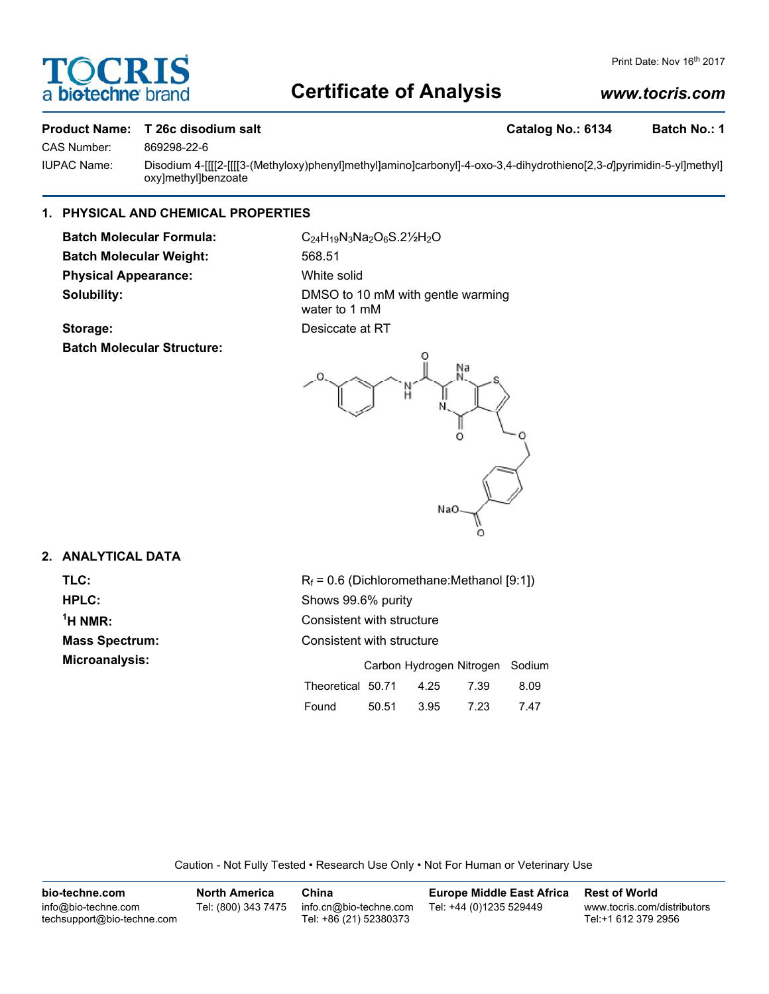# **DCR biotechr**

# **Certificate of Analysis**

# *www.tocris.com*

### **Product Name: T 26c disodium salt Catalog No.: 6134 Batch No.: 1** Catalog No.: 6134 Batch No.: 1

CAS Number: 869298-22-6

IUPAC Name: Disodium 4-[[[[2-[[[[3-(Methyloxy)phenyl]methyl]amino]carbonyl]-4-oxo-3,4-dihydrothieno[2,3-*d*]pyrimidin-5-yl]methyl] oxy]methyl]benzoate

## **1. PHYSICAL AND CHEMICAL PROPERTIES**

**Batch Molecular Formula:** C<sub>24</sub>H<sub>19</sub>N<sub>3</sub>Na<sub>2</sub>O<sub>6</sub>S.2<sup>1</sup>/<sub>2</sub>O **Batch Molecular Weight:** 568.51 **Physical Appearance:** White solid

**Storage:** Desiccate at RT **Batch Molecular Structure:**

**Solubility:** DMSO to 10 mM with gentle warming water to 1 mM



## **2. ANALYTICAL DATA**

 $<sup>1</sup>H NMR$ :</sup>

**TLC:**  $R_f = 0.6$  (Dichloromethane:Methanol [9:1]) **HPLC:** Shows 99.6% purity **Consistent with structure Mass Spectrum:** Consistent with structure **Microanalysis:** Microanalysis: Carbon Hydrogen Nitrogen Sodium Theoretical 50.71 4.25 7.39 8.09

Found 50.51 3.95 7.23 7.47

Caution - Not Fully Tested • Research Use Only • Not For Human or Veterinary Use

| bio-techne.com                                    | <b>North America</b> | China                                            | Europe Middle East Africa | <b>Rest of World</b>                               |
|---------------------------------------------------|----------------------|--------------------------------------------------|---------------------------|----------------------------------------------------|
| info@bio-techne.com<br>techsupport@bio-techne.com | Tel: (800) 343 7475  | info.cn@bio-techne.com<br>Tel: +86 (21) 52380373 | Tel: +44 (0)1235 529449   | www.tocris.com/distributors<br>Tel:+1 612 379 2956 |